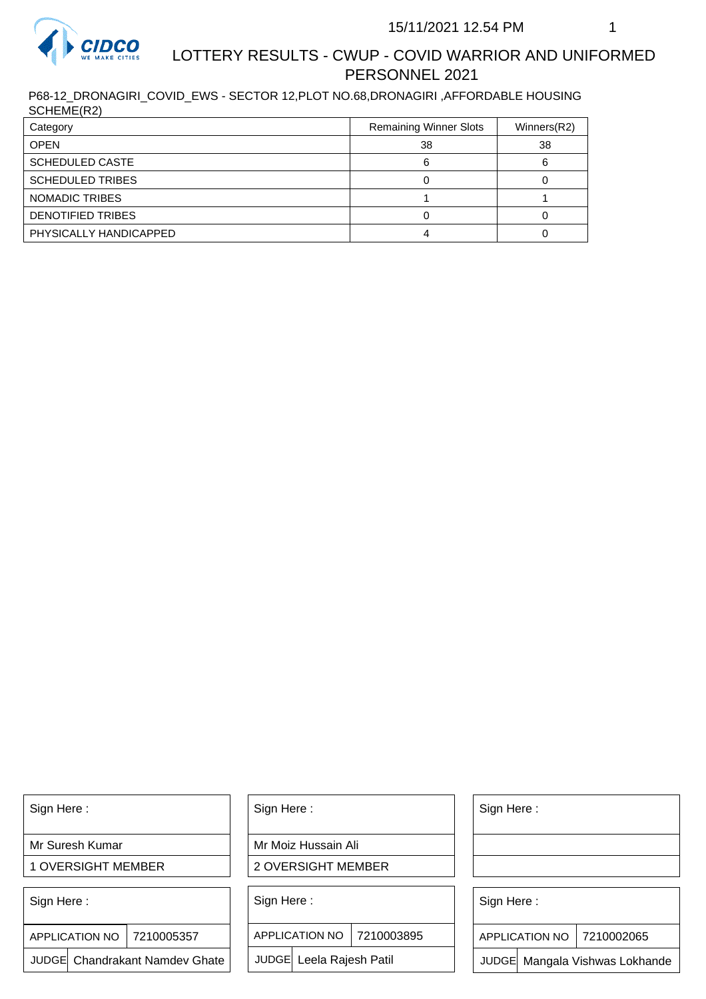

## LOTTERY RESULTS - CWUP - COVID WARRIOR AND UNIFORMED PERSONNEL 2021

P68-12\_DRONAGIRI\_COVID\_EWS - SECTOR 12,PLOT NO.68,DRONAGIRI ,AFFORDABLE HOUSING SCHEME(R2)

| Category                | <b>Remaining Winner Slots</b> | Winners(R2) |
|-------------------------|-------------------------------|-------------|
| <b>OPEN</b>             | 38                            | 38          |
| <b>SCHEDULED CASTE</b>  |                               |             |
| <b>SCHEDULED TRIBES</b> |                               |             |
| NOMADIC TRIBES          |                               |             |
| DENOTIFIED TRIBES       |                               |             |
| PHYSICALLY HANDICAPPED  |                               |             |

Sign Here :

Mr Suresh Kumar

1 OVERSIGHT MEMBER

Sign Here :

7210005357 APPLICATION NO

JUDGE Chandrakant Namdev Ghate

Sign Here :

Mr Moiz Hussain Ali

2 OVERSIGHT MEMBER

Sign Here :

APPLICATION NO 7210003895

JUDGE Leela Rajesh Patil

Sign Here :

Sign Here :

APPLICATION NO | 7210002065

Chandrakant Namdev Ghate  $|\quad|$  JUDGE Leela Rajesh Patil  $|\quad|$  JUDGE Mangala Vishwas Lokhande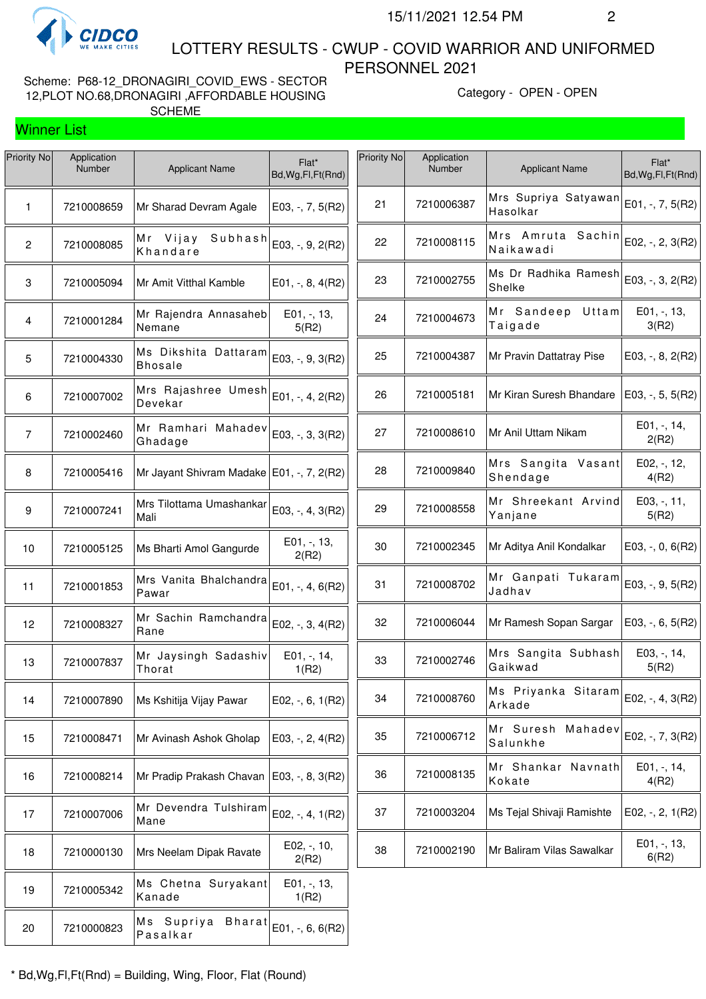

Winner List

 LOTTERY RESULTS - CWUP - COVID WARRIOR AND UNIFORMED PERSONNEL 2021

Scheme: P68-12\_DRONAGIRI\_COVID\_EWS - SECTOR 12,PLOT NO.68,DRONAGIRI ,AFFORDABLE HOUSING SCHEME

Category - OPEN - OPEN

| <b>Priority No</b> | Application<br>Number | <b>Applicant Name</b>                                      | Flat*<br>Bd, Wg, Fl, Ft (Rnd) | Priority No | Application<br>Number | <b>Applicant Name</b>            | Flat*<br>Bd, Wg, Fl, Ft (Rnd) |
|--------------------|-----------------------|------------------------------------------------------------|-------------------------------|-------------|-----------------------|----------------------------------|-------------------------------|
| $\mathbf{1}$       | 7210008659            | Mr Sharad Devram Agale                                     | E03, $-$ , $7$ , $5(R2)$      | 21          | 7210006387            | Mrs Supriya Satyawan<br>Hasolkar | E01, -, 7, 5(R2)              |
| $\overline{2}$     | 7210008085            | Subhash<br>Mr Vijay<br>Khandare                            | E03, -, 9, 2(R2)              | 22          | 7210008115            | Mrs Amruta Sachin<br>Naikawadi   | E02, -, 2, 3(R2)              |
| 3                  | 7210005094            | Mr Amit Vitthal Kamble                                     | $E01, -, 8, 4(R2)$            | 23          | 7210002755            | Ms Dr Radhika Ramesh<br>Shelke   | E03, -, 3, 2(R2)              |
| $\overline{4}$     | 7210001284            | Mr Rajendra Annasaheb<br>Nemane                            | E01, -, 13,<br>5(R2)          | 24          | 7210004673            | Mr Sandeep<br>Uttam<br>Taigade   | $E01, -13,$<br>3(R2)          |
| 5                  | 7210004330            | Ms Dikshita Dattaram<br><b>Bhosale</b>                     | E03, -, 9, 3(R2)              | 25          | 7210004387            | Mr Pravin Dattatray Pise         | $E03, -, 8, 2(R2)$            |
| 6                  | 7210007002            | Mrs Rajashree Umesh $ E_{01, \, -1}, 4, 2(R2) $<br>Devekar |                               | 26          | 7210005181            | Mr Kiran Suresh Bhandare         | E03, -, 5, 5(R2)              |
| $\overline{7}$     | 7210002460            | Mr Ramhari Mahadev<br>Ghadage                              | E03, -, 3, 3(R2)              | 27          | 7210008610            | Mr Anil Uttam Nikam              | $E01, -114,$<br>2(R2)         |
| 8                  | 7210005416            | Mr Jayant Shivram Madake   E01, -, 7, 2(R2)                |                               | 28          | 7210009840            | Mrs Sangita Vasant<br>Shendage   | E02, -, 12,<br>4(R2)          |
| 9                  | 7210007241            | Mrs Tilottama Umashankar<br>Mali                           | E03, -, 4, 3(R2)              | 29          | 7210008558            | Mr Shreekant Arvind<br>Yanjane   | E03, -, 11,<br>5(R2)          |
| 10                 | 7210005125            | Ms Bharti Amol Gangurde                                    | E01, -, 13,<br>2(R2)          | 30          | 7210002345            | Mr Aditya Anil Kondalkar         | $E03, -, 0, 6(R2)$            |
| 11                 | 7210001853            | Mrs Vanita Bhalchandra<br>Pawar                            | E01, $-$ , 4, 6(R2)           | 31          | 7210008702            | Mr Ganpati Tukaram<br>Jadhav     | $E03, -, 9, 5(R2)$            |
| 12                 | 7210008327            | Mr Sachin Ramchandra<br>Rane                               | E02, -, 3, 4(R2)              | 32          | 7210006044            | Mr Ramesh Sopan Sargar           | E03, $-$ , 6, 5(R2)           |
| 13                 | 7210007837            | Mr Jaysingh Sadashiv<br>Thorat                             | E01, -, 14,<br>1(R2)          | 33          | 7210002746            | Mrs Sangita Subhash<br>Gaikwad   | E03, -, 14,<br>5(R2)          |
| 14                 | 7210007890            | Ms Kshitija Vijay Pawar                                    | $E02, -, 6, 1(R2)$            | 34          | 7210008760            | Ms Priyanka Sitaram<br>Arkade    | E02, -, 4, 3(R2)              |
| 15                 | 7210008471            | Mr Avinash Ashok Gholap                                    | E03, $-$ , 2, 4(R2)           | 35          | 7210006712            | Mr Suresh Mahadev<br>Salunkhe    | E02, -, 7, 3(R2)              |
| 16                 | 7210008214            | Mr Pradip Prakash Chavan   E03, -, 8, 3(R2)                |                               | 36          | 7210008135            | Mr Shankar Navnath<br>Kokate     | $E01, -114,$<br>4(R2)         |
| 17                 | 7210007006            | Mr Devendra Tulshiram<br>Mane                              | E02, -, 4, $1(R2)$            | 37          | 7210003204            | Ms Tejal Shivaji Ramishte        | E02, $-$ , 2, 1(R2)           |
| 18                 | 7210000130            | Mrs Neelam Dipak Ravate                                    | E02, -, 10,<br>2(R2)          | 38          | 7210002190            | Mr Baliram Vilas Sawalkar        | $E01, -13,$<br>6(R2)          |
| 19                 | 7210005342            | Ms Chetna Suryakant<br>Kanade                              | E01, -, 13,<br>1(R2)          |             |                       |                                  |                               |
| 20                 | 7210000823            | Ms Supriya<br><b>Bharat</b><br>Pasalkar                    | E01, -, 6, 6(R2)              |             |                       |                                  |                               |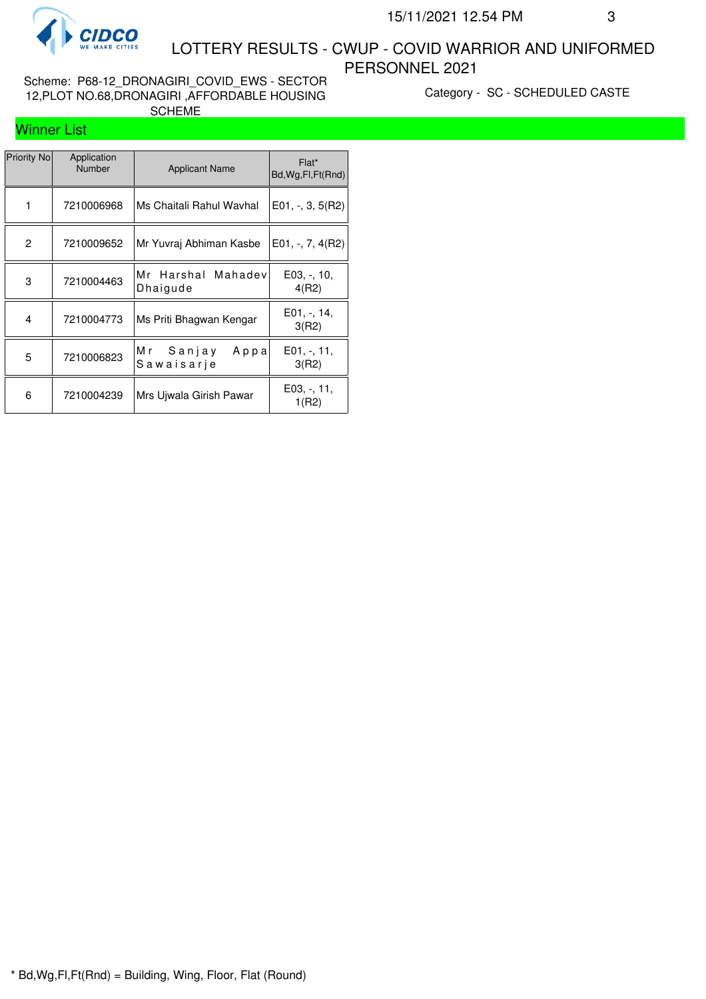

 LOTTERY RESULTS - CWUP - COVID WARRIOR AND UNIFORMED PERSONNEL 2021

Scheme: P68-12\_DRONAGIRI\_COVID\_EWS - SECTOR 12,PLOT NO.68,DRONAGIRI ,AFFORDABLE HOUSING SCHEME

Category - SC - SCHEDULED CASTE

## Winner List

| <b>Priority No</b> | Application<br><b>Number</b> | <b>Applicant Name</b>                | Flat*<br>Bd, Wg, Fl, Ft (Rnd) |
|--------------------|------------------------------|--------------------------------------|-------------------------------|
| 1                  | 7210006968                   | Ms Chaitali Rahul Wavhal             | $E01, -3, 5(R2)$              |
| 2                  | 7210009652                   | Mr Yuvraj Abhiman Kasbe              | E01, $-$ , 7, 4(R2)           |
| 3                  | 7210004463                   | Mr<br>Harshal<br>Mahadev<br>Dhaigude | $E03, -10,$<br>4(R2)          |
| $\overline{4}$     | 7210004773                   | Ms Priti Bhagwan Kengar              | $E01, -11,$<br>3(R2)          |
| 5                  | 7210006823                   | M r<br>Sanjay<br>Арра<br>Sawaisarje  | $E01, -11,$<br>3(R2)          |
| 6                  | 7210004239                   | Mrs Ujwala Girish Pawar              | $E03, -11,$<br>1(R2)          |